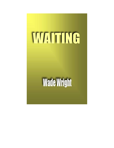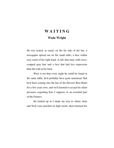# **W A I T I N G**

## **Wade Wright**

He was seated, as usual, on the far side of the bar, a newspaper spread out on the small table, a beer within easy reach of his right hand. A tall, thin man, with closecropped gray hair and a face that had less expression than the wall at his back.

 Were it not that every night he could be found at the same table, he'd probably have gone unnoticed. But he'd been coming into the bar of the Drovers Rest Hotel for a few years now, and we'd learned to accept his silent presence, regarding him, I suppose, as an essential part of the fixtures.

 He looked up as I made my way to where Artie and Nick were perched on high stools, then returned his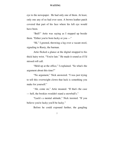eye to the newspaper. He had only one of them. At least, only one any of us had ever seen. A brown leather patch covered that part of his face where his left eye would have been.

 "Bull!" Artie was saying as I stepped up beside them. "Either you're born lucky or you —"

 "Hi," I greeted, throwing a leg over a vacant stool, signaling to Rusty, the barman.

 Artie flicked a glance at the digital strapped to his thick hairy wrist. "You're late." He made it sound as if I'd missed roll call.

 "Held up at the office," I explained. "So what's the argument about this time?"

 "No argument," Nick answered. "I was just trying to tell this overweight clown that luck is something you make for yourself."

 "Ah, come on," Artie moaned. "If that's the case — hell, the bookies wouldn't stand a snowball's."

 "Luck's a mental attitude," Nick insisted. "If you believe you're lucky you'll be lucky."

Before he could expound further, the gangling

<sup>2</sup>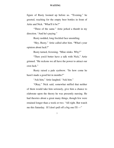figure of Rusty loomed up before us. "'Evening," he greeted, reaching for the empty beer bottles in front of Artie and Nick. "What'll it be?"

 "Three of the same." Artie jerked a thumb in my direction. "And he's paying."

Rusty nodded, long freckled face unsmiling.

 "Hey, Rusty," Artie called after him. "What's your opinion about luck?"

Rusty turned, frowning. "Mine stinks. Why?"

 "Then you'd better have a talk with Nick," Artie grinned. "He reckons we all have the power to attract our own luck."

 Rusty raised a pale eyebrow. "So how come he hasn't made a good bet in months?"

"Ask him," Artie laughed. "Ask him."

 "Okay," Nick said, somewhat miffed that neither of them would take him seriously, give him a chance to elaborate upon the theory he was presently nursing. He had theories about a great many things, though few were retained longer than a week or two. "All right. But watch me this Saturday. If I don't pull off a big one I'll —"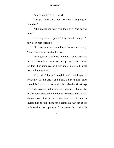"You'll what?" Artie chuckled.

 "Laugh," Nick said. "We'll see who's laughing on Saturday."

 Artie nudged me heavily in the ribs. "What do you think?"

 "He may have a point," I answered, though I'd only been half-listening.

 "At least someone around here has an open mind," Nick growled, and hoisted his beer.

 The argument continued and they tried to draw me into it. I tossed in a few ideas but kept my feet on neutral territory. For some reason I was more interested in the man with the eye-patch.

 Why, I don't know. Though I didn't visit the pub as frequently as did Artie and Nick, I'd seen him often enough before. I even knew that he arrived at five-fortyfive each evening and stayed until closing. I knew also that he never consumed more than two beers, that he was always alone, that no one ever went over to him or invited him to join them for a drink. He just sat at his table, reading the paper from front page to last, lifting his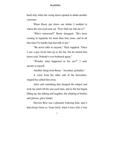head only when the swing doors opened to admit another customer.

 When Rusty put down our drinks I nodded to where the one-eyed man sat. "Ever find out who he is?"

 "Who's interested?" Rusty shrugged. "He's been coming in regularly for more than four years, and in all that time I've hardly had him talk to me."

 "He never talks to anyone," Nick supplied. "Once I saw a guy invite him up to the bar, but he turned him down cold. Nobody's ever bothered again."

 "Wonder what happened to his eye?" I said, mostly to myself.

Another shrug from Rusty. "Accident, probably."

 A voice from the other side of the horseshoeshaped bar called him away.

 Artie said something that changed the subject and took my mind off the one-eyed man, and as the bar began filling up, the talking and laughter, the clinking of bottles and glasses, grew louder.

 Drovers Rest was a pleasant watering hole, and it had always been so. Years back, when I was a kid, it was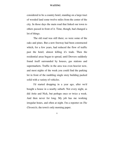considered to be a country hotel, standing on a large tract of wooded land some twelve miles from the center of the city. In those days the main road that linked our town to others passed in front of it. Time, though, had changed a lot of things.

 The old road was still there; so were some of the oaks and pines. But a new freeway had been constructed which, for a few years, had reduced the flow of traffic past the hotel; almost killing it's trade. Then the residential areas began to spread, until Drovers suddenly found itself surrounded by houses, gas stations and supermarkets. Traffic in the area was even heavier now, and most nights of the week you could find the parking lot in front of the rambling single story building packed solid with a variety of vehicles.

 I'd started dropping in a year ago, after we'd bought a house in a nearby suburb. Not every night, as did Artie and Nick, but perhaps once or twice a week. And then never for long. My job has me working irregular hours, and often at night. I'm a reporter on *The Chronicle*, the town's only morning paper.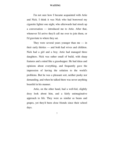I'm not sure how I became acquainted with Artie and Nick. I think it was Nick who had borrowed my cigarette lighter one night, who afterwards had struck up a conversation — introduced me to Artie. After that, whenever I'd arrive they'd call me over to join them, or I'd gravitate to where they sat.

They were several years younger than me  $-$  in their early thirties — and both had wives and children. Nick had a girl and a boy; Artie had managed three daughters. Nick was rather small of build, with sharp features and a mind like a grasshopper. He had ideas and opinions about everything, and frequently gave the impression of having the solution to the world's problems. But he was a pleasant sort, neither pushy nor demanding, and when he talked there was never anything boastful in his manner.

 Artie, on the other hand, had a well-fed, slightly dozy look about him, and a fairly unimaginative approach to life. They were as similar as beans and grapes, yet they'd been close friends since their school days.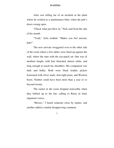Artie was telling me of an incident at the plant where he worked as a maintenance fitter, when the pub's doors swung open.

 "Check what just blew in," Nick said from the side of his mouth.

 "Yeah," Artie nodded. "Makes you feel ancient, huh?"

 The new arrivals swaggered over to the other side of the room where a few tables were lined up against the wall, where the man with the eye-patch sat. One was of medium height, with hair bleached almost white, and long enough to touch his shoulders. His companion was dark and bulky. Both wore black leather jackets festooned with silver studs, skin-tight jeans, and Western boots. Neither could have been more than a year or so beyond twenty.

 The racket in the room dropped noticeably when they bellied up to the bar, calling to Rusty in loud, impatient voices.

 "Heroes," I heard someone close by mutter, and another added a similar disapproving comment.

<sup>8</sup>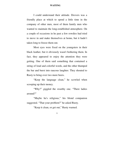I could understand their attitude. Drovers was a friendly place at which to spend a little time in the company of other men, most of them family men who wanted to maintain the long-established atmosphere. On a couple of occasions in he past a few rowdies had tried to move in and make themselves at home, but it hadn't taken long to freeze them out.

 Most eyes were fixed on the youngsters in their black leather, but it obviously wasn't bothering them. In fact, they appeared to enjoy the attention they were getting. One of them said something that contained a string of loud and colorful words, and the other thumped the bar and burst into raucous laughter. They shouted to Rusty to bring over two more beers.

 "Keep the language clean," he scowled when scooping up their money.

 "Why?" giggled the swarthy one. "There ladies around?"

 "Maybe he's religious," his blond companion suggested. "That your problem?" he asked Rusty.

"Keep it clean, or get out," Rusty warned.

<sup>9</sup>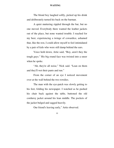The blond boy laughed softly, picked up his drink and deliberately turned his back on the barman.

 A quiet muttering rippled through the bar, but no one moved. Everybody there wanted the leather jackets out of the place, but none wanted trouble. I reached for my beer, experiencing a twinge of cowardice, ashamed that, like the rest, I could allow myself to feel intimidated by a pair of kids who were still damp behind the ears.

 Voice held down, Artie said, "Boy, aren't they the tough guys." His big round face was twisted into a sneer when he spoke.

 "Ah, they're all noise," Nick said. "Lean on them and they'll wet their pants and run."

 From the corner of an eye I noticed movement over at the wall behind the two rowdies.

 The man with the eye-patch was slowly getting to his feet, folding his newspaper. I watched as he pushed his chair back against the table, buttoned the old corduroy jacket around his lean middle. The pockets of the jacket bulged and sagged heavily.

Our friend's leaving early," Artie observed.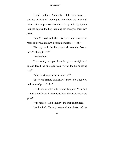I said nothing. Suddenly I felt very tense … because instead of moving to the door, the man had taken a few steps closer to where the pair in tight jeans lounged against the bar, laughing too loudly at their own jokes.

 "You!" Cold and flat, his voice cut across the room and brought down a curtain of silence. "You!"

 The boy with the bleached hair was the first to turn. "Talking to me?"

"Both of you."

 The swarthy one put down his glass, straightened up and faced the one-eyed man. "What the hell's eating you?"

"You don't remember me, do you?"

 The blond smiled insolently. "Sure I do. Seen you in dozens of porn flicks."

 His friend erupted into idiotic laughter. "That's it — that's him! Now I remember. Hey, old man, you were great!"

"My name's Ralph Muller," the man announced.

"And mine's Tarzan," returned the darker of the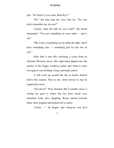pair. "So what's it you want, Bum-Eye?"

 "No," the man said, his voice like ice. "No, you don't remember me, do you?"

 "Listen, what the hell do you want?" the blond demanded. "You got something on your mind — spit it out."

 "Oh, I have something on my mind all right. And I have something else — something just for the two of you."

 After that it was like watching a scene from an old-time Western movie. His right hand dipped into the pocket of the baggy corduroy jacket and when it came out again it was holding a large automatic pistol.

 A yell went up around the bar as heads ducked below the counter. Next to me, Artie moved so fast he toppled his stool.

 "Get down!" Nick shouted. But I couldn't move. I swung my gaze to where the two boys stood, eyes stretched wide, jaws dangling. Rusty started towards them, then stopped and backed off to safety.

"Listen —" he began, and whatever else he'd

<sup>12</sup>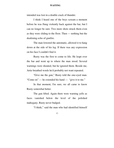intended was lost in a double crack of thunder.

 I think I heard one of the boys scream a moment before he was flung violently back against the bar, but I can no longer be sure. Two more shots struck them even as they were sliding to the floor. Then — nothing but the deafening echo of gunfire.

 The man lowered the automatic, allowed it to hang down at the side of his leg. If there was any expression on his face I couldn't find it.

 Rusty was the first to come to life. He leapt over the bar and went up to where the man stood. Several warnings were shouted, but he ignored them. Beside me, Artie breathed words he'd probably not want repeated.

 "Give me the gun," Rusty told the one-eyed man. "Come on" — he extended his hand — "give it to me."

 In that moment, I'm sure, we all came to know Rusty somewhat better.

 The gun lifted. Again there were warning yells as faces vanished below the level of the polished mahogany. Rusty never budged.

"I think," said the man who had identified himself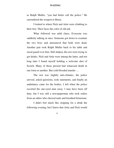as Ralph Muller, "you had better call the police." He surrendered the weapon to Rusty.

 I looked to where Nick and Artie were climbing to their feet. Their faces the color of old ash.

 What followed was mild chaos. Everyone was suddenly talking at once. Someone got down to examine the two boys and announced that both were dead. Another pair took Ralph Muller back to his table and stood guard over him. Still shaken, the rest were trying to get drinks. Nick and Artie were among the latter, and not long later I found myself holding a welcome shot of Scotch. Many of those present had witnessed death in one form or another. But cold-blooded murder …

 The rest was slightly anti-climatic; the police arrived, asked questions, took statements, and finally an ambulance came for the bodies. I left when the police escorted the one-eyed man away. I may have been off duty, but I was still a newspaperman who took orders from an editor who chewed nails and breathed brimstone.

 I didn't feel much like stopping for a drink the following evening, but I knew that Artie and Nick would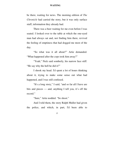be there, waiting for news. The morning edition of *The Chronicle* had carried the story, but it was only surface stuff, information they already had.

 There was a beer waiting for me even before I was seated. I looked over to the table at which the one-eyed man had always sat and, not finding him there, revived the feeling of emptiness that had dogged me most of the day.

 "So what was it all about?" Artie demanded. "What happened after the cops took him away?"

"Yeah," Nick said somberly, his narrow face stiff. "He say why the hell he did it?"

 I shook my head. I'd spent a lot of hours thinking about it, trying to make some sense out what had happened, and I was still confused.

 "It's a long story," I said, "and so far all I have are bits and pieces — and, anything I tell you, it's off the record."

"Sure," Artie nodded. "So shoot."

 And I told them, the story Ralph Muller had given the police, and which, in part, I'd been able to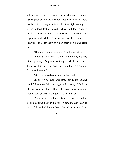substantiate. It was a story of a man who, ten years ago, had stopped at Drovers Rest for a couple of drinks. There had been two young men in the bar that night — boys in silver-studded leather jackets who'd had too much to drink. Somehow they'd succeeded in starting an argument with Muller. The barman had been forced to intervene, to order them to finish their drinks and clear out.

"This was . . . ten years ago?" Nick queried softly.

 I nodded. "Anyway, it turns out they left, but they didn't go away. They were waiting for Muller at his car. They beat him  $up - so$  badly he wound up in a hospital for several weeks."

Artie swallowed some more of his drink.

 "In case you ever wondered about the leather patch," I went on, "that beating cost him an eye." Neither of them said anything. They sat there, fingers clamped around beer glasses, waiting for me to continue.

 "After he was discharged from the hospital he had trouble settling back in his job. A few months later he lost it." I reached for my beer; the talking was making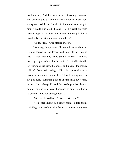my throat dry. "Muller used to be a traveling salesman and, according to the company he worked for back then, a very successful one. But that incident did something to him. It made him cold, distant . . . his relations with people began to change. He landed another job, but it lasted only a short while — as did others."

"Lousy luck," Artie offered quietly.

 "Anyway, things were all downhill from then on. He was forced to take lesser work, and all the time he was — well, building walls around himself. Then his marriage began to head for the rocks. Eventually his wife left him, took the kids, the house, and most of the money still left from their savings. All of it happened over a period of six years. About then," I said, taking another swig of beer, "something inside of him must have come unstuck. He'd always blamed the two boys who'd beaten him up for what afterwards happened to him . . . but now he decided to do something about it."

Artie swallowed hard. "Like . . . kill them?"

 "He'd been living in a dingy room," I told them, "thinking about nothing else. It's what he was doing here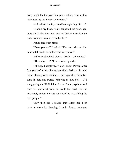every night for the past four years: sitting there at that table, waiting for them to come back."

Nick whistled softly. "And last night they did . . ."

 I shook my head. "This happened ten years ago, remember? The boys who beat up Muller were in their early twenties. Same as those he shot."

Artie's face went blank.

 "Don't you see?" I asked. "The ones who put him in hospital would be in their thirties by now."

Artie's head bobbed slowly. "Yeah . . . of course."

"Then why . . .?" Nick remained puzzled.

 I shrugged helplessly. "I don't know. Perhaps after four years of waiting he became tired. Perhaps his mind began playing tricks on him . . . perhaps when those two came in here and started behaving as they did . . ." I shrugged again. "Hell, I don't know. I'm no psychiatrist; I can't tell you what went on inside his head. But I'm reasonably certain he was convinced he was killing the right people."

 Only then did I realize that Rusty had been hovering close by, listening. I said, "Rusty, were you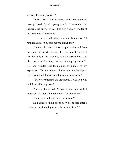working here ten years ago?"

"Yeah." He moved in closer, hands flat upon the bar-top. "And if you're going to ask if I remember the incident, the answer is yes. But only vaguely. Matter of fact, I'd almost forgotten it."

 "I seem to recall asking you who Muller was," I reminded him. "You told me you didn't know."

 "I didn't. At least I didn't recognize him, and that's the truth. He wasn't a regular. If I saw him that night it was for only a few seconds, when I served him. The place was crowded; they had me running my feet off." His long freckled face took on an even more forlorn expression. "Besides, none of it ever got into the papers. Until last night I'd never heard his name mentioned."

 "But you remember the argument? It was you who told those kids to get out?"

 "Listen," he sighed, "it was a long time back. I remember the night, but not much of what went on."

"Can you recall who those boys were?"

 He paused to think about it. "No," he said after a while, red head moving from side to side. "I can't."